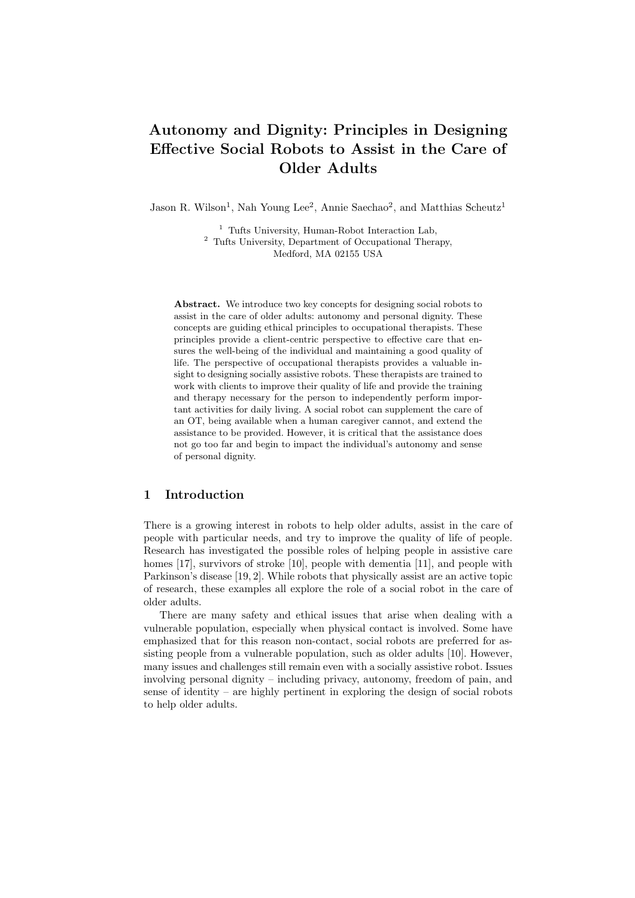# Autonomy and Dignity: Principles in Designing Effective Social Robots to Assist in the Care of Older Adults

Jason R. Wilson<sup>1</sup>, Nah Young Lee<sup>2</sup>, Annie Saechao<sup>2</sup>, and Matthias Scheutz<sup>1</sup>

<sup>1</sup> Tufts University, Human-Robot Interaction Lab, <sup>2</sup> Tufts University, Department of Occupational Therapy, Medford, MA 02155 USA

Abstract. We introduce two key concepts for designing social robots to assist in the care of older adults: autonomy and personal dignity. These concepts are guiding ethical principles to occupational therapists. These principles provide a client-centric perspective to effective care that ensures the well-being of the individual and maintaining a good quality of life. The perspective of occupational therapists provides a valuable insight to designing socially assistive robots. These therapists are trained to work with clients to improve their quality of life and provide the training and therapy necessary for the person to independently perform important activities for daily living. A social robot can supplement the care of an OT, being available when a human caregiver cannot, and extend the assistance to be provided. However, it is critical that the assistance does not go too far and begin to impact the individual's autonomy and sense of personal dignity.

# 1 Introduction

There is a growing interest in robots to help older adults, assist in the care of people with particular needs, and try to improve the quality of life of people. Research has investigated the possible roles of helping people in assistive care homes [17], survivors of stroke [10], people with dementia [11], and people with Parkinson's disease [19, 2]. While robots that physically assist are an active topic of research, these examples all explore the role of a social robot in the care of older adults.

There are many safety and ethical issues that arise when dealing with a vulnerable population, especially when physical contact is involved. Some have emphasized that for this reason non-contact, social robots are preferred for assisting people from a vulnerable population, such as older adults [10]. However, many issues and challenges still remain even with a socially assistive robot. Issues involving personal dignity – including privacy, autonomy, freedom of pain, and sense of identity – are highly pertinent in exploring the design of social robots to help older adults.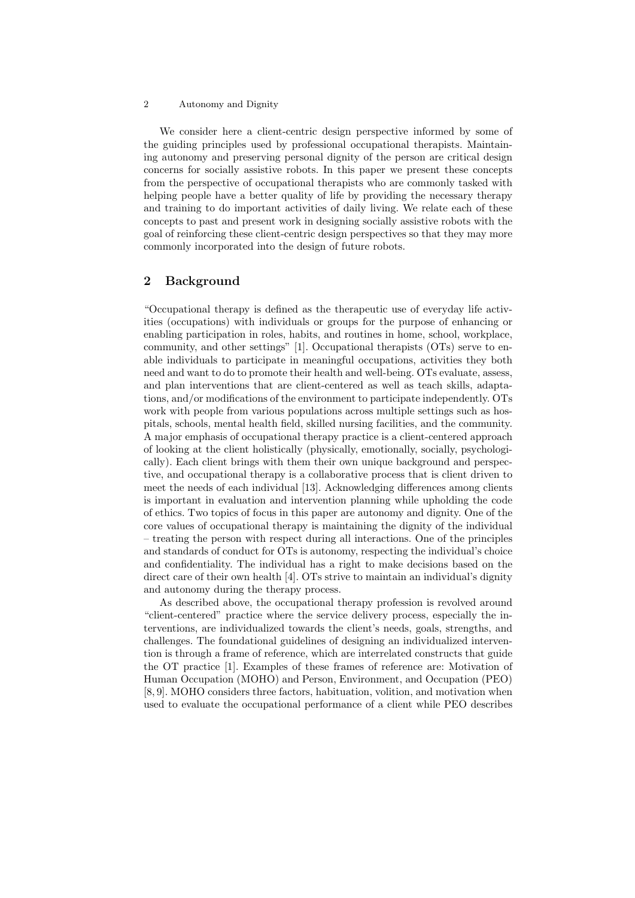#### 2 Autonomy and Dignity

We consider here a client-centric design perspective informed by some of the guiding principles used by professional occupational therapists. Maintaining autonomy and preserving personal dignity of the person are critical design concerns for socially assistive robots. In this paper we present these concepts from the perspective of occupational therapists who are commonly tasked with helping people have a better quality of life by providing the necessary therapy and training to do important activities of daily living. We relate each of these concepts to past and present work in designing socially assistive robots with the goal of reinforcing these client-centric design perspectives so that they may more commonly incorporated into the design of future robots.

## 2 Background

"Occupational therapy is defined as the therapeutic use of everyday life activities (occupations) with individuals or groups for the purpose of enhancing or enabling participation in roles, habits, and routines in home, school, workplace, community, and other settings" [1]. Occupational therapists (OTs) serve to enable individuals to participate in meaningful occupations, activities they both need and want to do to promote their health and well-being. OTs evaluate, assess, and plan interventions that are client-centered as well as teach skills, adaptations, and/or modifications of the environment to participate independently. OTs work with people from various populations across multiple settings such as hospitals, schools, mental health field, skilled nursing facilities, and the community. A major emphasis of occupational therapy practice is a client-centered approach of looking at the client holistically (physically, emotionally, socially, psychologically). Each client brings with them their own unique background and perspective, and occupational therapy is a collaborative process that is client driven to meet the needs of each individual [13]. Acknowledging differences among clients is important in evaluation and intervention planning while upholding the code of ethics. Two topics of focus in this paper are autonomy and dignity. One of the core values of occupational therapy is maintaining the dignity of the individual – treating the person with respect during all interactions. One of the principles and standards of conduct for OTs is autonomy, respecting the individual's choice and confidentiality. The individual has a right to make decisions based on the direct care of their own health [4]. OTs strive to maintain an individual's dignity and autonomy during the therapy process.

As described above, the occupational therapy profession is revolved around "client-centered" practice where the service delivery process, especially the interventions, are individualized towards the client's needs, goals, strengths, and challenges. The foundational guidelines of designing an individualized intervention is through a frame of reference, which are interrelated constructs that guide the OT practice [1]. Examples of these frames of reference are: Motivation of Human Occupation (MOHO) and Person, Environment, and Occupation (PEO) [8, 9]. MOHO considers three factors, habituation, volition, and motivation when used to evaluate the occupational performance of a client while PEO describes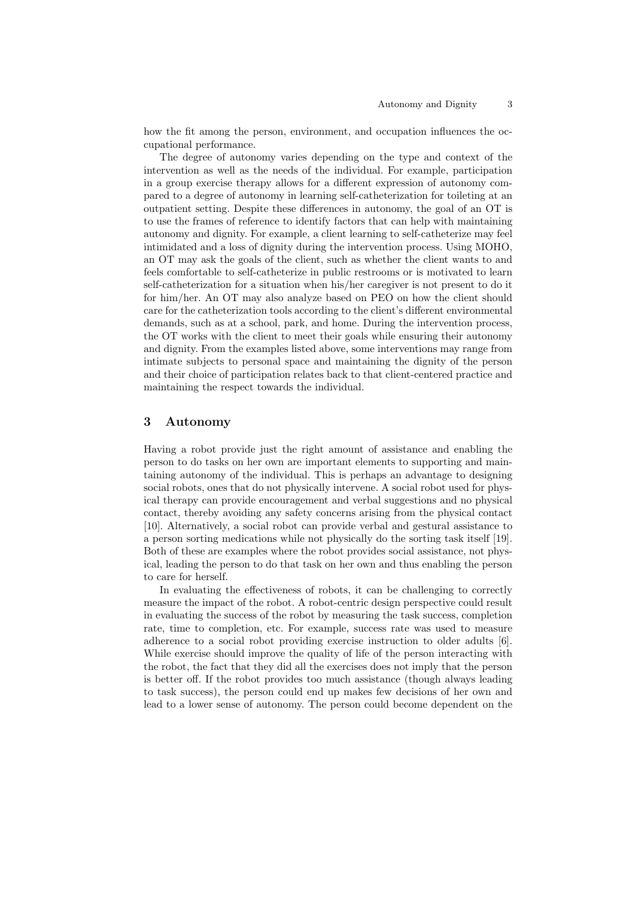how the fit among the person, environment, and occupation influences the occupational performance.

The degree of autonomy varies depending on the type and context of the intervention as well as the needs of the individual. For example, participation in a group exercise therapy allows for a different expression of autonomy compared to a degree of autonomy in learning self-catheterization for toileting at an outpatient setting. Despite these differences in autonomy, the goal of an OT is to use the frames of reference to identify factors that can help with maintaining autonomy and dignity. For example, a client learning to self-catheterize may feel intimidated and a loss of dignity during the intervention process. Using MOHO, an OT may ask the goals of the client, such as whether the client wants to and feels comfortable to self-catheterize in public restrooms or is motivated to learn self-catheterization for a situation when his/her caregiver is not present to do it for him/her. An OT may also analyze based on PEO on how the client should care for the catheterization tools according to the client's different environmental demands, such as at a school, park, and home. During the intervention process, the OT works with the client to meet their goals while ensuring their autonomy and dignity. From the examples listed above, some interventions may range from intimate subjects to personal space and maintaining the dignity of the person and their choice of participation relates back to that client-centered practice and maintaining the respect towards the individual.

### 3 Autonomy

Having a robot provide just the right amount of assistance and enabling the person to do tasks on her own are important elements to supporting and maintaining autonomy of the individual. This is perhaps an advantage to designing social robots, ones that do not physically intervene. A social robot used for physical therapy can provide encouragement and verbal suggestions and no physical contact, thereby avoiding any safety concerns arising from the physical contact [10]. Alternatively, a social robot can provide verbal and gestural assistance to a person sorting medications while not physically do the sorting task itself [19]. Both of these are examples where the robot provides social assistance, not physical, leading the person to do that task on her own and thus enabling the person to care for herself.

In evaluating the effectiveness of robots, it can be challenging to correctly measure the impact of the robot. A robot-centric design perspective could result in evaluating the success of the robot by measuring the task success, completion rate, time to completion, etc. For example, success rate was used to measure adherence to a social robot providing exercise instruction to older adults [6]. While exercise should improve the quality of life of the person interacting with the robot, the fact that they did all the exercises does not imply that the person is better off. If the robot provides too much assistance (though always leading to task success), the person could end up makes few decisions of her own and lead to a lower sense of autonomy. The person could become dependent on the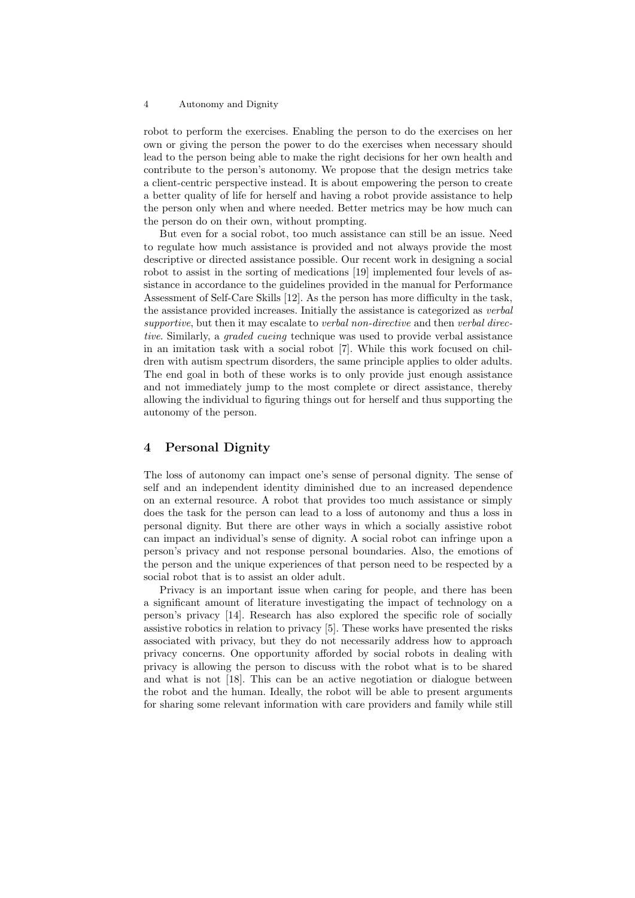#### 4 Autonomy and Dignity

robot to perform the exercises. Enabling the person to do the exercises on her own or giving the person the power to do the exercises when necessary should lead to the person being able to make the right decisions for her own health and contribute to the person's autonomy. We propose that the design metrics take a client-centric perspective instead. It is about empowering the person to create a better quality of life for herself and having a robot provide assistance to help the person only when and where needed. Better metrics may be how much can the person do on their own, without prompting.

But even for a social robot, too much assistance can still be an issue. Need to regulate how much assistance is provided and not always provide the most descriptive or directed assistance possible. Our recent work in designing a social robot to assist in the sorting of medications [19] implemented four levels of assistance in accordance to the guidelines provided in the manual for Performance Assessment of Self-Care Skills [12]. As the person has more difficulty in the task, the assistance provided increases. Initially the assistance is categorized as verbal supportive, but then it may escalate to verbal non-directive and then verbal directive. Similarly, a *graded cueing* technique was used to provide verbal assistance in an imitation task with a social robot [7]. While this work focused on children with autism spectrum disorders, the same principle applies to older adults. The end goal in both of these works is to only provide just enough assistance and not immediately jump to the most complete or direct assistance, thereby allowing the individual to figuring things out for herself and thus supporting the autonomy of the person.

# 4 Personal Dignity

The loss of autonomy can impact one's sense of personal dignity. The sense of self and an independent identity diminished due to an increased dependence on an external resource. A robot that provides too much assistance or simply does the task for the person can lead to a loss of autonomy and thus a loss in personal dignity. But there are other ways in which a socially assistive robot can impact an individual's sense of dignity. A social robot can infringe upon a person's privacy and not response personal boundaries. Also, the emotions of the person and the unique experiences of that person need to be respected by a social robot that is to assist an older adult.

Privacy is an important issue when caring for people, and there has been a significant amount of literature investigating the impact of technology on a person's privacy [14]. Research has also explored the specific role of socially assistive robotics in relation to privacy [5]. These works have presented the risks associated with privacy, but they do not necessarily address how to approach privacy concerns. One opportunity afforded by social robots in dealing with privacy is allowing the person to discuss with the robot what is to be shared and what is not [18]. This can be an active negotiation or dialogue between the robot and the human. Ideally, the robot will be able to present arguments for sharing some relevant information with care providers and family while still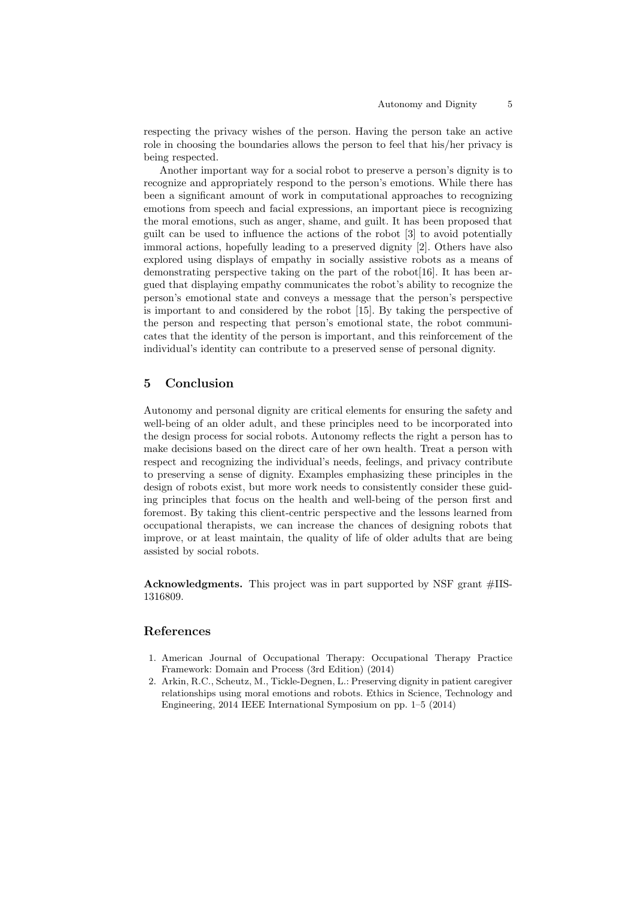respecting the privacy wishes of the person. Having the person take an active role in choosing the boundaries allows the person to feel that his/her privacy is being respected.

Another important way for a social robot to preserve a person's dignity is to recognize and appropriately respond to the person's emotions. While there has been a significant amount of work in computational approaches to recognizing emotions from speech and facial expressions, an important piece is recognizing the moral emotions, such as anger, shame, and guilt. It has been proposed that guilt can be used to influence the actions of the robot [3] to avoid potentially immoral actions, hopefully leading to a preserved dignity [2]. Others have also explored using displays of empathy in socially assistive robots as a means of demonstrating perspective taking on the part of the robot[16]. It has been argued that displaying empathy communicates the robot's ability to recognize the person's emotional state and conveys a message that the person's perspective is important to and considered by the robot [15]. By taking the perspective of the person and respecting that person's emotional state, the robot communicates that the identity of the person is important, and this reinforcement of the individual's identity can contribute to a preserved sense of personal dignity.

# 5 Conclusion

Autonomy and personal dignity are critical elements for ensuring the safety and well-being of an older adult, and these principles need to be incorporated into the design process for social robots. Autonomy reflects the right a person has to make decisions based on the direct care of her own health. Treat a person with respect and recognizing the individual's needs, feelings, and privacy contribute to preserving a sense of dignity. Examples emphasizing these principles in the design of robots exist, but more work needs to consistently consider these guiding principles that focus on the health and well-being of the person first and foremost. By taking this client-centric perspective and the lessons learned from occupational therapists, we can increase the chances of designing robots that improve, or at least maintain, the quality of life of older adults that are being assisted by social robots.

Acknowledgments. This project was in part supported by NSF grant #IIS-1316809.

## References

- 1. American Journal of Occupational Therapy: Occupational Therapy Practice Framework: Domain and Process (3rd Edition) (2014)
- 2. Arkin, R.C., Scheutz, M., Tickle-Degnen, L.: Preserving dignity in patient caregiver relationships using moral emotions and robots. Ethics in Science, Technology and Engineering, 2014 IEEE International Symposium on pp. 1–5 (2014)